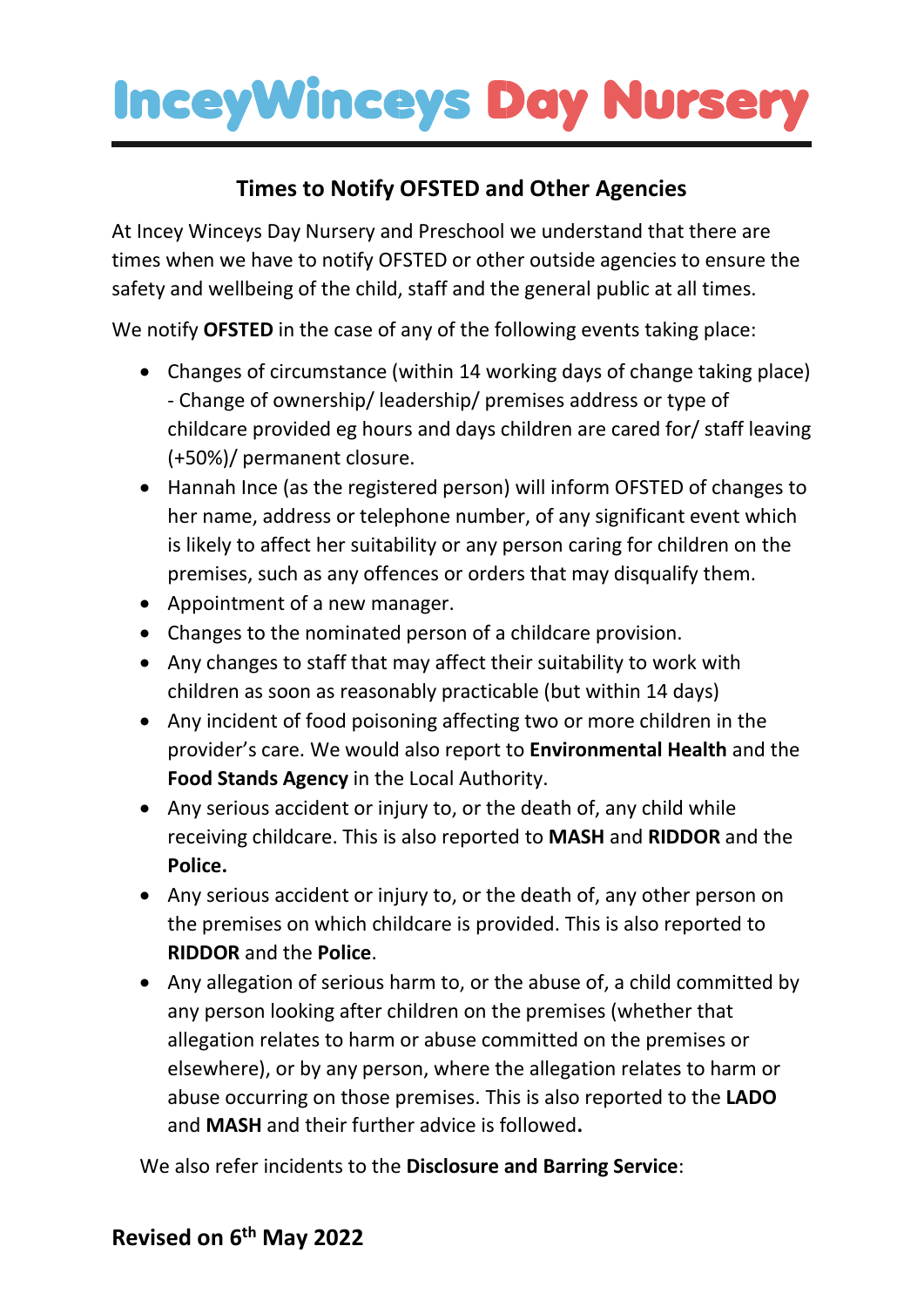# **InceyWinceys Day Nursery**

## **Times to Notify OFSTED and Other Agencies**

At Incey Winceys Day Nursery and Preschool we understand that there are times when we have to notify OFSTED or other outside agencies to ensure the safety and wellbeing of the child, staff and the general public at all times.

We notify **OFSTED** in the case of any of the following events taking place:

- Changes of circumstance (within 14 working days of change taking place) - Change of ownership/ leadership/ premises address or type of childcare provided eg hours and days children are cared for/ staff leaving (+50%)/ permanent closure.
- Hannah Ince (as the registered person) will inform OFSTED of changes to her name, address or telephone number, of any significant event which is likely to affect her suitability or any person caring for children on the premises, such as any offences or orders that may disqualify them.
- Appointment of a new manager.
- Changes to the nominated person of a childcare provision.
- Any changes to staff that may affect their suitability to work with children as soon as reasonably practicable (but within 14 days)
- Any incident of food poisoning affecting two or more children in the provider's care. We would also report to **Environmental Health** and the **Food Stands Agency** in the Local Authority.
- Any serious accident or injury to, or the death of, any child while receiving childcare. This is also reported to **MASH** and **RIDDOR** and the **Police.**
- Any serious accident or injury to, or the death of, any other person on the premises on which childcare is provided. This is also reported to **RIDDOR** and the **Police**.
- Any allegation of serious harm to, or the abuse of, a child committed by any person looking after children on the premises (whether that allegation relates to harm or abuse committed on the premises or elsewhere), or by any person, where the allegation relates to harm or abuse occurring on those premises. This is also reported to the **LADO** and **MASH** and their further advice is followed**.**

We also refer incidents to the **Disclosure and Barring Service**: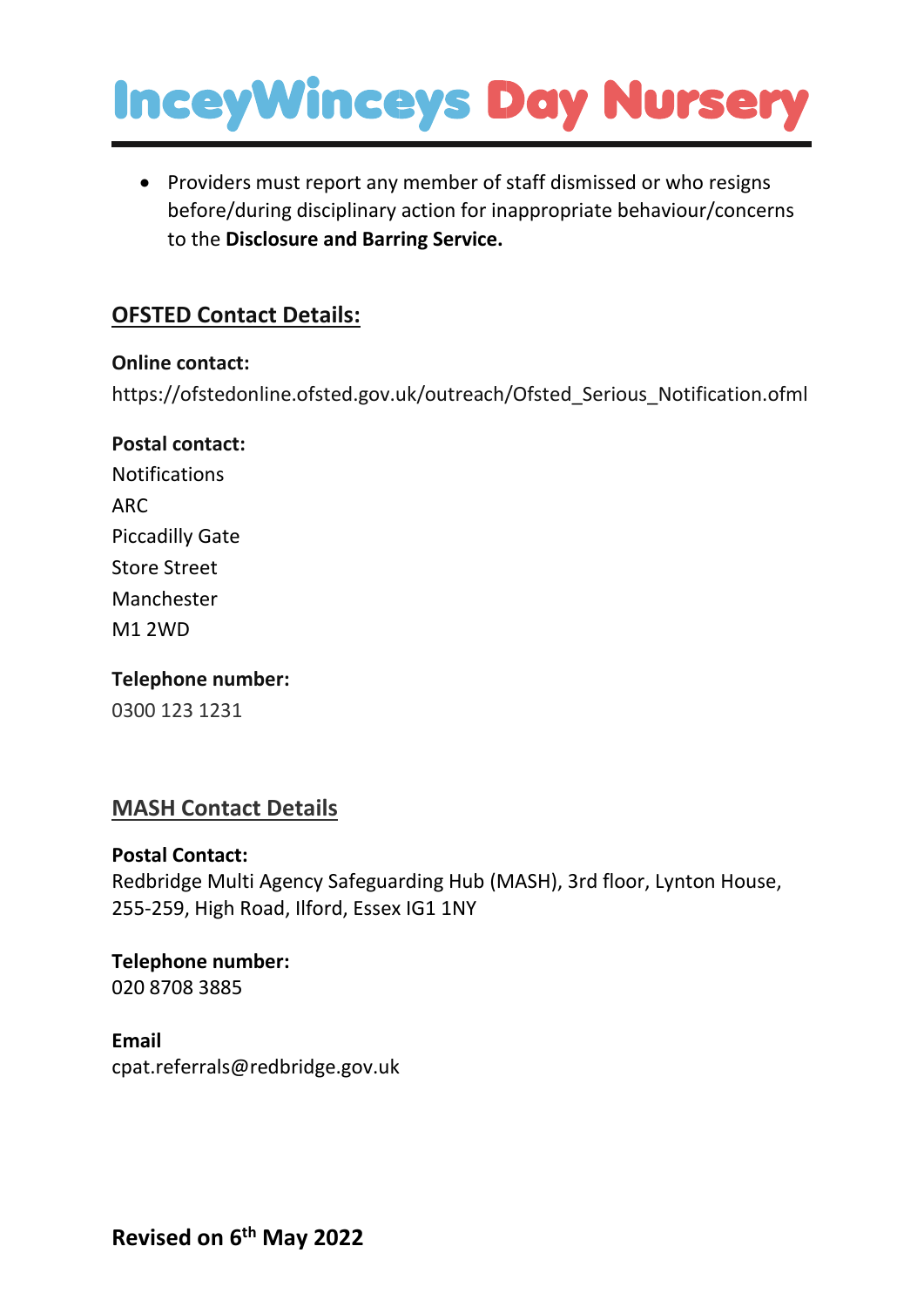# **InceyWinceys Day Nursery**

• Providers must report any member of staff dismissed or who resigns before/during disciplinary action for inappropriate behaviour/concerns to the **Disclosure and Barring Service.**

## **OFSTED Contact Details:**

### **Online contact:** https://ofstedonline.ofsted.gov.uk/outreach/Ofsted\_Serious\_Notification.ofml

#### **Postal contact:**

Notifications ARC Piccadilly Gate Store Street Manchester M1 2WD

#### **Telephone number:**

0300 123 1231

### **MASH Contact Details**

#### **Postal Contact:**

Redbridge Multi Agency Safeguarding Hub (MASH), 3rd floor, Lynton House, 255-259, High Road, Ilford, Essex IG1 1NY

**Telephone number:** 020 8708 3885

#### **Email**

cpat.referrals@redbridge.gov.uk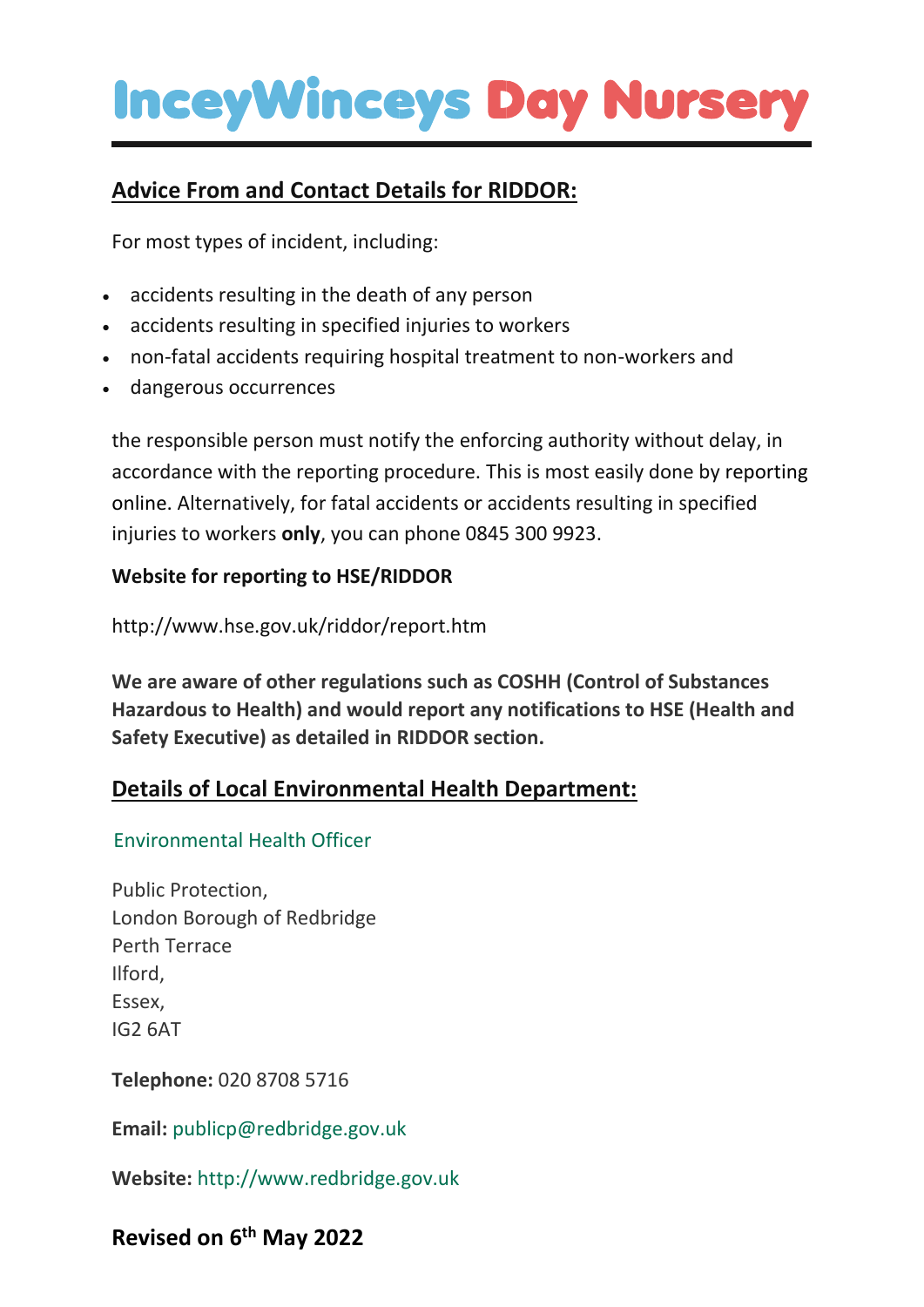# **InceyWinceys Day Nurser**

## **Advice From and Contact Details for RIDDOR:**

For most types of incident, including:

- accidents resulting in the death of any person
- accidents resulting in specified injuries to workers
- non-fatal accidents requiring hospital treatment to non-workers and
- dangerous occurrences

the responsible person must notify the enforcing authority without delay, in accordance with the reporting procedure. This is most easily done by reporting online. Alternatively, for fatal accidents or accidents resulting in specified injuries to workers **only**, you can phone 0845 300 9923.

### **Website for reporting to HSE/RIDDOR**

http://www.hse.gov.uk/riddor/report.htm

**We are aware of other regulations such as COSHH (Control of Substances Hazardous to Health) and would report any notifications to HSE (Health and Safety Executive) as detailed in RIDDOR section.**

## **Details of Local Environmental Health Department:**

### [Environmental Health Officer](http://www.food.gov.uk/enforcement/yourarea/results?width=460&height=460&latitude=51.592868804932&longitude=0.027324885129929&postcode=e18%201bx&zoom=10&category=environment&position=1)

Public Protection, London Borough of Redbridge Perth Terrace Ilford, Essex, IG2 6AT

**Telephone:** 020 8708 5716

**Email:** [publicp@redbridge.gov.uk](mailto:publicp@redbridge.gov.uk) 

**Website:** [http://www.redbridge.gov.uk](http://www.redbridge.gov.uk/)

### **Revised on 6 th May 2022**